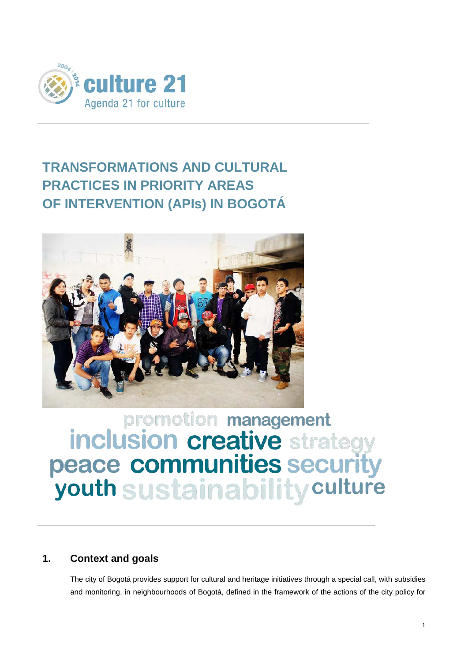

## **TRANSFORMATIONS AND CULTURAL PRACTICES IN PRIORITY AREAS OF INTERVENTION (APIs) IN BOGOTÁ**



# **Promotion management<br>inclusion creative strategy<br>peace communities security** youth sustainability culture

## **1. Context and goals**

The city of Bogotá provides support for cultural and heritage initiatives through a special call, with subsidies and monitoring, in neighbourhoods of Bogotá, defined in the framework of the actions of the city policy for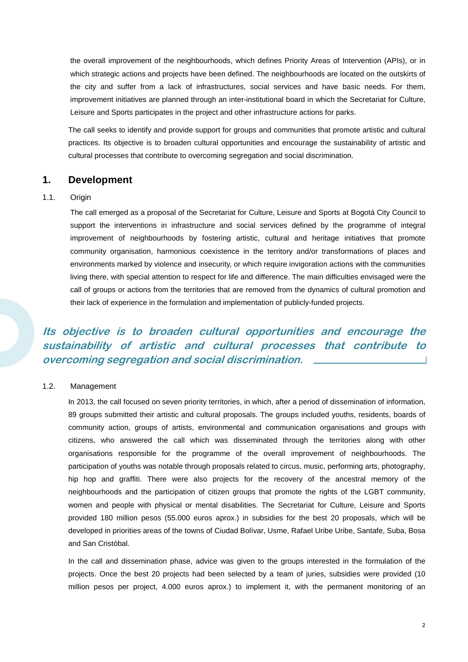the overall improvement of the neighbourhoods, which defines Priority Areas of Intervention (APIs), or in which strategic actions and projects have been defined. The neighbourhoods are located on the outskirts of the city and suffer from a lack of infrastructures, social services and have basic needs. For them, improvement initiatives are planned through an inter-institutional board in which the Secretariat for Culture, Leisure and Sports participates in the project and other infrastructure actions for parks.

The call seeks to identify and provide support for groups and communities that promote artistic and cultural practices. Its objective is to broaden cultural opportunities and encourage the sustainability of artistic and cultural processes that contribute to overcoming segregation and social discrimination.

#### **1. Development**

#### 1.1. Origin

The call emerged as a proposal of the Secretariat for Culture, Leisure and Sports at Bogotá City Council to support the interventions in infrastructure and social services defined by the programme of integral improvement of neighbourhoods by fostering artistic, cultural and heritage initiatives that promote community organisation, harmonious coexistence in the territory and/or transformations of places and environments marked by violence and insecurity, or which require invigoration actions with the communities living there, with special attention to respect for life and difference. The main difficulties envisaged were the call of groups or actions from the territories that are removed from the dynamics of cultural promotion and their lack of experience in the formulation and implementation of publicly-funded projects.

## **Its objective is to broaden cultural opportunities and encourage the sustainability of artistic and cultural processes that contribute to overcoming segregation and social discrimination.**

#### 1.2. Management

In 2013, the call focused on seven priority territories, in which, after a period of dissemination of information, 89 groups submitted their artistic and cultural proposals. The groups included youths, residents, boards of community action, groups of artists, environmental and communication organisations and groups with citizens, who answered the call which was disseminated through the territories along with other organisations responsible for the programme of the overall improvement of neighbourhoods. The participation of youths was notable through proposals related to circus, music, performing arts, photography, hip hop and graffiti. There were also projects for the recovery of the ancestral memory of the neighbourhoods and the participation of citizen groups that promote the rights of the LGBT community, women and people with physical or mental disabilities. The Secretariat for Culture, Leisure and Sports provided 180 million pesos (55.000 euros aprox.) in subsidies for the best 20 proposals, which will be developed in priorities areas of the towns of Ciudad Bolívar, Usme, Rafael Uribe Uribe, Santafe, Suba, Bosa and San Cristóbal.

In the call and dissemination phase, advice was given to the groups interested in the formulation of the projects. Once the best 20 projects had been selected by a team of juries, subsidies were provided (10 million pesos per project, 4.000 euros aprox.) to implement it, with the permanent monitoring of an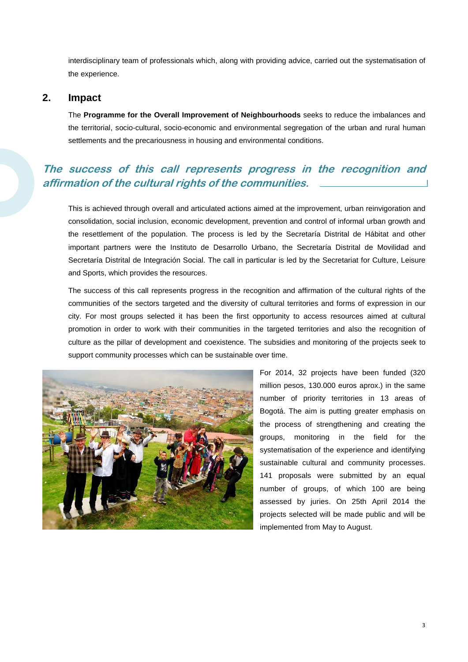interdisciplinary team of professionals which, along with providing advice, carried out the systematisation of the experience.

#### **2. Impact**

The **Programme for the Overall Improvement of Neighbourhoods** seeks to reduce the imbalances and the territorial, socio-cultural, socio-economic and environmental segregation of the urban and rural human settlements and the precariousness in housing and environmental conditions.

## **The success of this call represents progress in the recognition and affirmation of the cultural rights of the communities.**

This is achieved through overall and articulated actions aimed at the improvement, urban reinvigoration and consolidation, social inclusion, economic development, prevention and control of informal urban growth and the resettlement of the population. The process is led by the Secretaría Distrital de Hábitat and other important partners were the Instituto de Desarrollo Urbano, the Secretaría Distrital de Movilidad and Secretaría Distrital de Integración Social. The call in particular is led by the Secretariat for Culture, Leisure and Sports, which provides the resources.

The success of this call represents progress in the recognition and affirmation of the cultural rights of the communities of the sectors targeted and the diversity of cultural territories and forms of expression in our city. For most groups selected it has been the first opportunity to access resources aimed at cultural promotion in order to work with their communities in the targeted territories and also the recognition of culture as the pillar of development and coexistence. The subsidies and monitoring of the projects seek to support community processes which can be sustainable over time.



For 2014, 32 projects have been funded (320 million pesos, 130.000 euros aprox.) in the same number of priority territories in 13 areas of Bogotá. The aim is putting greater emphasis on the process of strengthening and creating the groups, monitoring in the field for the systematisation of the experience and identifying sustainable cultural and community processes. 141 proposals were submitted by an equal number of groups, of which 100 are being assessed by juries. On 25th April 2014 the projects selected will be made public and will be implemented from May to August.